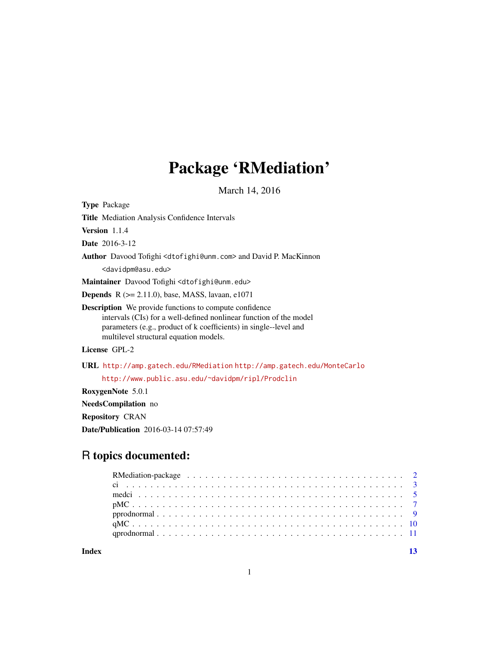## Package 'RMediation'

March 14, 2016

<span id="page-0-0"></span>Type Package Title Mediation Analysis Confidence Intervals Version 1.1.4 Date 2016-3-12 Author Davood Tofighi <dtofighi@unm.com> and David P. MacKinnon <davidpm@asu.edu> Maintainer Davood Tofighi <dtofighi@unm.edu> Depends R (>= 2.11.0), base, MASS, lavaan, e1071 Description We provide functions to compute confidence intervals (CIs) for a well-defined nonlinear function of the model parameters (e.g., product of k coefficients) in single--level and multilevel structural equation models. License GPL-2 URL <http://amp.gatech.edu/RMediation> <http://amp.gatech.edu/MonteCarlo> <http://www.public.asu.edu/~davidpm/ripl/Prodclin> RoxygenNote 5.0.1

NeedsCompilation no

Repository CRAN

Date/Publication 2016-03-14 07:57:49

### R topics documented:

**Index** [13](#page-12-0)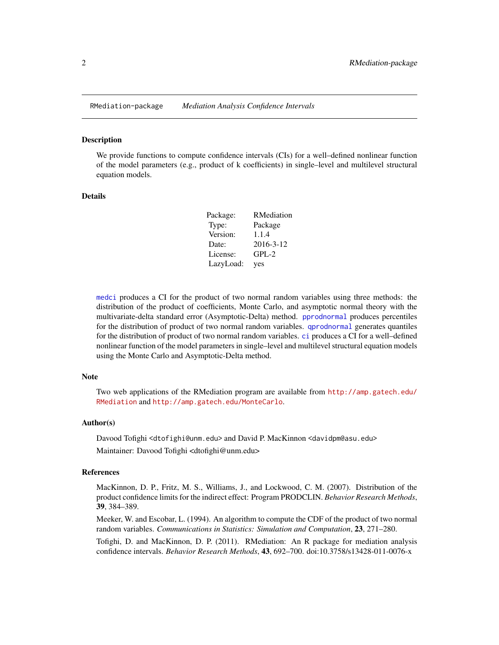<span id="page-1-1"></span><span id="page-1-0"></span>

#### Description

We provide functions to compute confidence intervals (CIs) for a well–defined nonlinear function of the model parameters (e.g., product of k coefficients) in single–level and multilevel structural equation models.

#### Details

| Package:  | RMediation |
|-----------|------------|
| Type:     | Package    |
| Version:  | 1.1.4      |
| Date:     | 2016-3-12  |
| License:  | $GPL-2$    |
| LazyLoad: | yes        |

[medci](#page-4-1) produces a CI for the product of two normal random variables using three methods: the distribution of the product of coefficients, Monte Carlo, and asymptotic normal theory with the multivariate-delta standard error (Asymptotic-Delta) method. [pprodnormal](#page-8-1) produces percentiles for the distribution of product of two normal random variables. [qprodnormal](#page-10-1) generates quantiles for the distribution of product of two normal random variables. [ci](#page-2-1) produces a CI for a well–defined nonlinear function of the model parameters in single–level and multilevel structural equation models using the Monte Carlo and Asymptotic-Delta method.

#### **Note**

Two web applications of the RMediation program are available from [http://amp.gatech.edu/](http://amp.gatech.edu/RMediation) [RMediation](http://amp.gatech.edu/RMediation) and <http://amp.gatech.edu/MonteCarlo>.

#### Author(s)

Davood Tofighi <dtofighi@unm.edu> and David P. MacKinnon <davidpm@asu.edu> Maintainer: Davood Tofighi <dtofighi@unm.edu>

#### References

MacKinnon, D. P., Fritz, M. S., Williams, J., and Lockwood, C. M. (2007). Distribution of the product confidence limits for the indirect effect: Program PRODCLIN. *Behavior Research Methods*, 39, 384–389.

Meeker, W. and Escobar, L. (1994). An algorithm to compute the CDF of the product of two normal random variables. *Communications in Statistics: Simulation and Computation*, 23, 271–280.

Tofighi, D. and MacKinnon, D. P. (2011). RMediation: An R package for mediation analysis confidence intervals. *Behavior Research Methods*, 43, 692–700. doi:10.3758/s13428-011-0076-x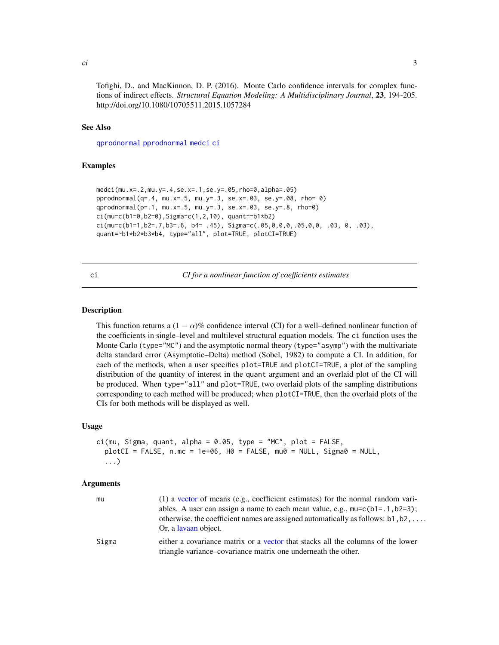<span id="page-2-0"></span>Tofighi, D., and MacKinnon, D. P. (2016). Monte Carlo confidence intervals for complex functions of indirect effects. *Structural Equation Modeling: A Multidisciplinary Journal*, 23, 194-205. http://doi.org/10.1080/10705511.2015.1057284

#### See Also

[qprodnormal](#page-10-1) [pprodnormal](#page-8-1) [medci](#page-4-1) [ci](#page-2-1)

#### Examples

```
medci(mu.x=.2,mu.y=.4,se.x=.1,se.y=.05,rho=0,alpha=.05)
pprodnormal(q=.4, mu.x=.5, mu.y=.3, se.x=.03, se.y=.08, rho= 0)
qprodnormal(p=.1, mu.x=.5, mu.y=.3, se.x=.03, se.y=.8, rho=0)
ci(mu=c(b1=0,b2=0),Sigma=c(1,2,10), quant=~b1*b2)
ci(mucc(b1=1,b2=.7,b3=.6, b4=.45), Signacc(.05,0,0,0,.05,0,0,.03, 0,.03),
quant=~b1*b2*b3*b4, type="all", plot=TRUE, plotCI=TRUE)
```
<span id="page-2-1"></span>ci *CI for a nonlinear function of coefficients estimates*

#### **Description**

This function returns a  $(1 - \alpha)$ % confidence interval (CI) for a well–defined nonlinear function of the coefficients in single–level and multilevel structural equation models. The ci function uses the Monte Carlo (type="MC") and the asymptotic normal theory (type="asymp") with the multivariate delta standard error (Asymptotic–Delta) method (Sobel, 1982) to compute a CI. In addition, for each of the methods, when a user specifies plot=TRUE and plotCI=TRUE, a plot of the sampling distribution of the quantity of interest in the quant argument and an overlaid plot of the CI will be produced. When type="all" and plot=TRUE, two overlaid plots of the sampling distributions corresponding to each method will be produced; when plotCI=TRUE, then the overlaid plots of the CIs for both methods will be displayed as well.

#### Usage

```
ci(mu, Sigma, quant, alpha = 0.05, type = "MC", plot = FALSE,
 plotCI = FALSE, n.mc = 1e+06, H0 = FALSE, mu0 = NULL, Sigma0 = NULL...)
```

| mu    | (1) a vector of means (e.g., coefficient estimates) for the normal random vari-          |
|-------|------------------------------------------------------------------------------------------|
|       | ables. A user can assign a name to each mean value, e.g., $mu=c(b1=.1, b2=3)$ ;          |
|       | otherwise, the coefficient names are assigned automatically as follows: $b1, b2, \ldots$ |
|       | Or, a lavaan object.                                                                     |
| Sigma | either a covariance matrix or a vector that stacks all the columns of the lower          |
|       | triangle variance-covariance matrix one underneath the other.                            |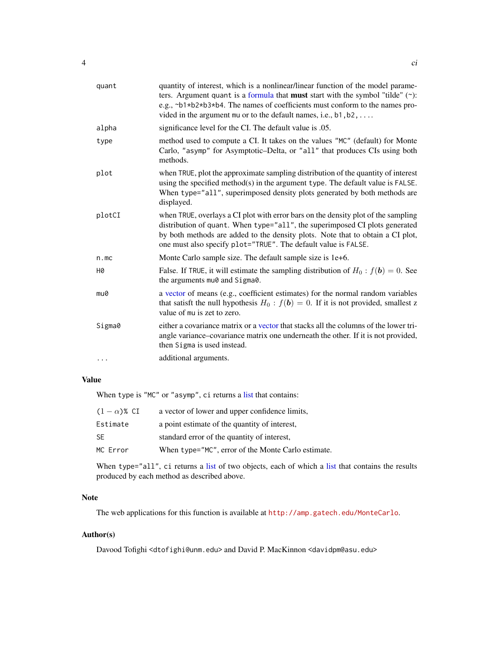<span id="page-3-0"></span>

| quant  | quantity of interest, which is a nonlinear/linear function of the model parame-<br>ters. Argument quant is a formula that <b>must</b> start with the symbol "tilde" $(\sim)$ :<br>e.g., ~b1*b2*b3*b4. The names of coefficients must conform to the names pro-<br>vided in the argument mu or to the default names, i.e., $b1, b2, \ldots$ |
|--------|--------------------------------------------------------------------------------------------------------------------------------------------------------------------------------------------------------------------------------------------------------------------------------------------------------------------------------------------|
| alpha  | significance level for the CI. The default value is .05.                                                                                                                                                                                                                                                                                   |
| type   | method used to compute a CI. It takes on the values "MC" (default) for Monte<br>Carlo, "asymp" for Asymptotic-Delta, or "all" that produces CIs using both<br>methods.                                                                                                                                                                     |
| plot   | when TRUE, plot the approximate sampling distribution of the quantity of interest<br>using the specified method(s) in the argument type. The default value is FALSE.<br>When type="all", superimposed density plots generated by both methods are<br>displayed.                                                                            |
| plotCI | when TRUE, overlays a CI plot with error bars on the density plot of the sampling<br>distribution of quant. When type="all", the superimposed CI plots generated<br>by both methods are added to the density plots. Note that to obtain a CI plot,<br>one must also specify plot="TRUE". The default value is FALSE.                       |
| n.mc   | Monte Carlo sample size. The default sample size is 1e+6.                                                                                                                                                                                                                                                                                  |
| Н0     | False. If TRUE, it will estimate the sampling distribution of $H_0$ : $f(\mathbf{b}) = 0$ . See<br>the arguments mu0 and Sigma0.                                                                                                                                                                                                           |
| mu0    | a vector of means (e.g., coefficient estimates) for the normal random variables<br>that satisft the null hypothesis $H_0$ : $f(b) = 0$ . If it is not provided, smallest z<br>value of mu is zet to zero.                                                                                                                                  |
| Sigma0 | either a covariance matrix or a vector that stacks all the columns of the lower tri-<br>angle variance–covariance matrix one underneath the other. If it is not provided,<br>then Sigma is used instead.                                                                                                                                   |
|        | additional arguments.                                                                                                                                                                                                                                                                                                                      |

#### Value

When type is "MC" or "asymp", ci returns a [list](#page-0-0) that contains:

| $(1-\alpha)$ % CI | a vector of lower and upper confidence limits,     |
|-------------------|----------------------------------------------------|
| Estimate          | a point estimate of the quantity of interest,      |
| SE                | standard error of the quantity of interest,        |
| MC Error          | When type="MC", error of the Monte Carlo estimate. |

When type="all", ci returns a [list](#page-0-0) of two objects, each of which a list that contains the results produced by each method as described above.

#### Note

The web applications for this function is available at <http://amp.gatech.edu/MonteCarlo>.

#### Author(s)

Davood Tofighi <dtofighi@unm.edu> and David P. MacKinnon <davidpm@asu.edu>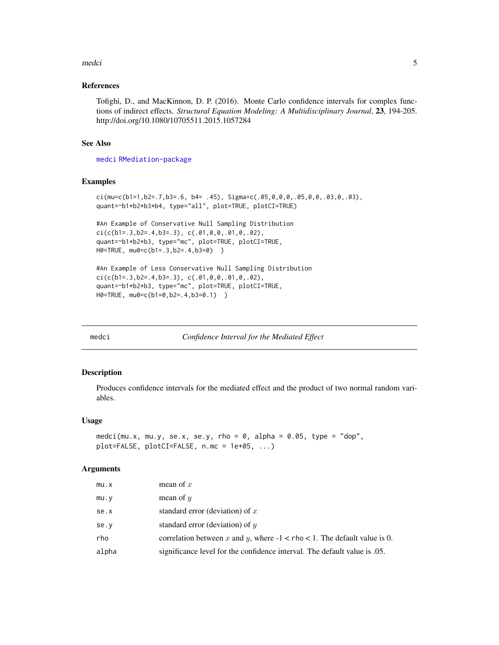#### <span id="page-4-0"></span>medci 5

#### References

Tofighi, D., and MacKinnon, D. P. (2016). Monte Carlo confidence intervals for complex functions of indirect effects. *Structural Equation Modeling: A Multidisciplinary Journal*, 23, 194-205. http://doi.org/10.1080/10705511.2015.1057284

#### See Also

[medci](#page-4-1) [RMediation-package](#page-1-1)

#### Examples

```
ci(mu=c(b1=1,b2=.7,b3=.6, b4= .45), Sigma=c(.05,0,0,0,.05,0,0,.03,0,.03),
quant=~b1*b2*b3*b4, type="all", plot=TRUE, plotCI=TRUE)
```

```
#An Example of Conservative Null Sampling Distribution
ci(c(b1=.3,b2=.4,b3=.3), c(.01,0,0,.01,0,.02),quant=~b1*b2*b3, type="mc", plot=TRUE, plotCI=TRUE,
H0=TRUE, mu0=c(b1=.3,b2=.4,b3=0) )
```

```
#An Example of Less Conservative Null Sampling Distribution
ci(c(b1=.3,b2=.4,b3=.3), c(.01,0,0,.01,0,.02),
quant=~b1*b2*b3, type="mc", plot=TRUE, plotCI=TRUE,
H0=TRUE, mu0=c(b1=0,b2=.4,b3=0.1) )
```
<span id="page-4-1"></span>

medci *Confidence Interval for the Mediated Effect*

#### Description

Produces confidence intervals for the mediated effect and the product of two normal random variables.

#### Usage

```
medci(mu.x, mu.y, se.x, se.y, rho = 0, alpha = 0.05, type = "dop",
plot=FALSE, plotCI=FALSE, n.mc = 1e+05, ...)
```

| mu.x  | mean of $x$                                                                    |
|-------|--------------------------------------------------------------------------------|
| mu.y  | mean of $y$                                                                    |
| se.x  | standard error (deviation) of $x$                                              |
| se.v  | standard error (deviation) of $y$                                              |
| rho   | correlation between x and y, where $-1 < r$ ho $< 1$ . The default value is 0. |
| alpha | significance level for the confidence interval. The default value is 0.05.     |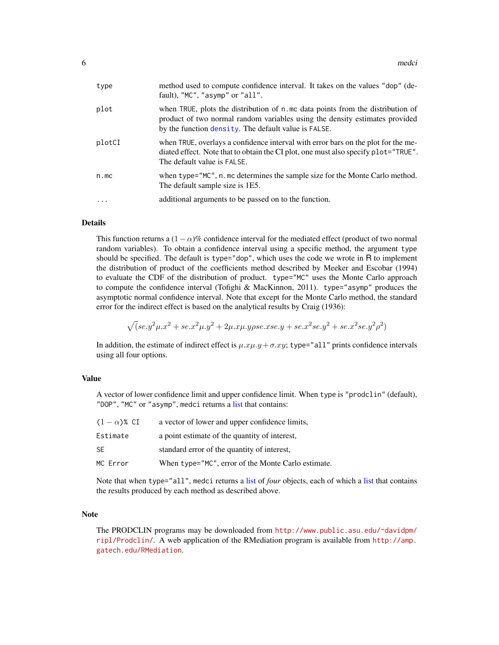<span id="page-5-0"></span>

| type   | method used to compute confidence interval. It takes on the values "dop" (de-<br>fault), "MC", "asymp" or "all".                                                                                                      |
|--------|-----------------------------------------------------------------------------------------------------------------------------------------------------------------------------------------------------------------------|
| plot   | when TRUE, plots the distribution of n.mc data points from the distribution of<br>product of two normal random variables using the density estimates provided<br>by the function density. The default value is FALSE. |
| plotCI | when TRUE, overlays a confidence interval with error bars on the plot for the me-<br>diated effect. Note that to obtain the CI plot, one must also specify plot="TRUE".<br>The default value is FALSE.                |
| n.mc   | when type="MC", n.mc determines the sample size for the Monte Carlo method.<br>The default sample size is 1E5.                                                                                                        |
| .      | additional arguments to be passed on to the function.                                                                                                                                                                 |
|        |                                                                                                                                                                                                                       |

#### Details

This function returns a  $(1 - \alpha)$ % confidence interval for the mediated effect (product of two normal random variables). To obtain a confidence interval using a specific method, the argument type should be specified. The default is type="dop", which uses the code we wrote in R to implement the distribution of product of the coefficients method described by Meeker and Escobar (1994) to evaluate the CDF of the distribution of product. type="MC" uses the Monte Carlo approach to compute the confidence interval (Tofighi & MacKinnon, 2011). type="asymp" produces the asymptotic normal confidence interval. Note that except for the Monte Carlo method, the standard error for the indirect effect is based on the analytical results by Craig (1936):

$$
\sqrt(s e. y^2 \mu . x^2 + s e. x^2 \mu . y^2 + 2 \mu . x \mu . y \rho s e. x s e. y + s e. x^2 s e. y^2 + s e. x^2 s e. y^2 \rho^2)
$$

In addition, the estimate of indirect effect is  $\mu.x\mu.y + \sigma.xy$ ; type="all" prints confidence intervals using all four options.

#### Value

A vector of lower confidence limit and upper confidence limit. When type is "prodclin" (default), "DOP", "MC" or "asymp", medci returns a [list](#page-0-0) that contains:

| $(1-\alpha)$ % CI | a vector of lower and upper confidence limits,     |
|-------------------|----------------------------------------------------|
| Estimate          | a point estimate of the quantity of interest,      |
| SE                | standard error of the quantity of interest.        |
| MC Error          | When type="MC", error of the Monte Carlo estimate. |

Note that when type="all", medci returns a [list](#page-0-0) of *four* objects, each of which a [list](#page-0-0) that contains the results produced by each method as described above.

#### Note

The PRODCLIN programs may be downloaded from [http://www.public.asu.edu/~davidpm/](http://www.public.asu.edu/~davidpm/ripl/Prodclin/) [ripl/Prodclin/](http://www.public.asu.edu/~davidpm/ripl/Prodclin/). A web application of the RMediation program is available from [http://amp.](http://amp.gatech.edu/RMediation) [gatech.edu/RMediation](http://amp.gatech.edu/RMediation).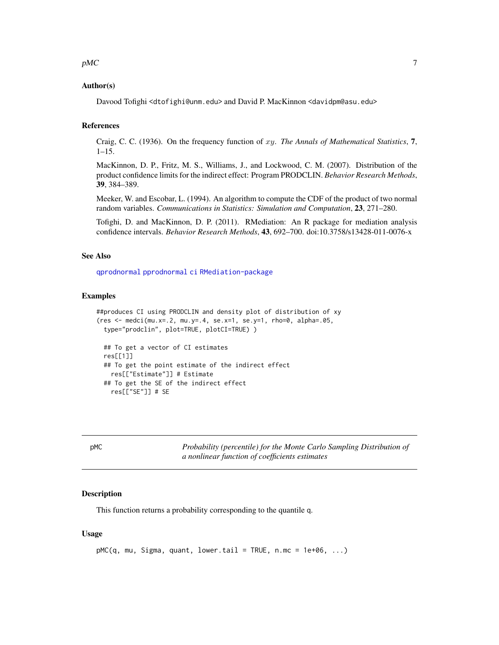#### <span id="page-6-0"></span> $pMC$  7

#### Author(s)

Davood Tofighi <dtofighi@unm.edu> and David P. MacKinnon <davidpm@asu.edu>

#### References

Craig, C. C. (1936). On the frequency function of xy. *The Annals of Mathematical Statistics*, 7,  $1 - 15$ .

MacKinnon, D. P., Fritz, M. S., Williams, J., and Lockwood, C. M. (2007). Distribution of the product confidence limits for the indirect effect: Program PRODCLIN. *Behavior Research Methods*, 39, 384–389.

Meeker, W. and Escobar, L. (1994). An algorithm to compute the CDF of the product of two normal random variables. *Communications in Statistics: Simulation and Computation*, 23, 271–280.

Tofighi, D. and MacKinnon, D. P. (2011). RMediation: An R package for mediation analysis confidence intervals. *Behavior Research Methods*, 43, 692–700. doi:10.3758/s13428-011-0076-x

#### See Also

[qprodnormal](#page-10-1) [pprodnormal](#page-8-1) [ci](#page-2-1) [RMediation-package](#page-1-1)

#### Examples

```
##produces CI using PRODCLIN and density plot of distribution of xy
(res <- medci(mu.x=.2, mu.y=.4, se.x=1, se.y=1, rho=0, alpha=.05,
 type="prodclin", plot=TRUE, plotCI=TRUE) )
 ## To get a vector of CI estimates
 res[[1]]
 ## To get the point estimate of the indirect effect
   res[["Estimate"]] # Estimate
 ## To get the SE of the indirect effect
   res[["SE"]] # SE
```
pMC *Probability (percentile) for the Monte Carlo Sampling Distribution of a nonlinear function of coefficients estimates*

#### **Description**

This function returns a probability corresponding to the quantile q.

#### Usage

```
pMC(q, mu, Sigma, quant, lower.tail = TRUE, n.mc = 1e+06, ...)
```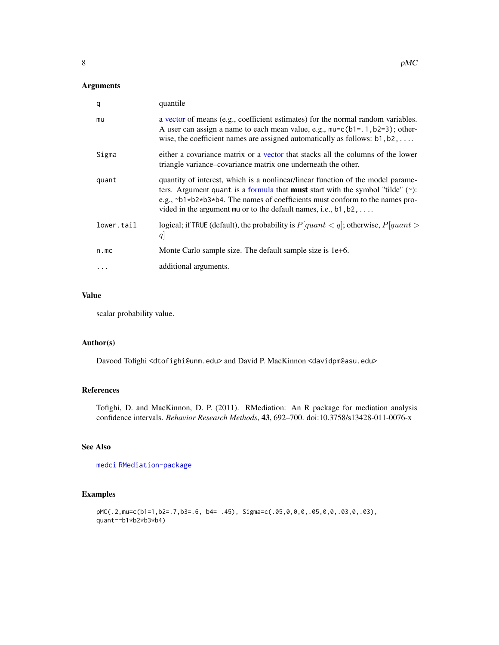#### <span id="page-7-0"></span>Arguments

| q          | quantile                                                                                                                                                                                                                                                                                                                                     |  |
|------------|----------------------------------------------------------------------------------------------------------------------------------------------------------------------------------------------------------------------------------------------------------------------------------------------------------------------------------------------|--|
| mu         | a vector of means (e.g., coefficient estimates) for the normal random variables.<br>A user can assign a name to each mean value, e.g., $mu = c(b1 = .1, b2 = 3)$ ; other-<br>wise, the coefficient names are assigned automatically as follows: $b1, b2, \ldots$                                                                             |  |
| Sigma      | either a covariance matrix or a vector that stacks all the columns of the lower<br>triangle variance–covariance matrix one underneath the other.                                                                                                                                                                                             |  |
| quant      | quantity of interest, which is a nonlinear/linear function of the model parame-<br>ters. Argument quant is a formula that <b>must</b> start with the symbol "tilde" $(\gamma)$ :<br>e.g., ~b1*b2*b3*b4. The names of coefficients must conform to the names pro-<br>vided in the argument mu or to the default names, i.e., $b1, b2, \ldots$ |  |
| lower.tail | logical; if TRUE (default), the probability is $P[quant < q]$ ; otherwise, $P[quant >$<br>q                                                                                                                                                                                                                                                  |  |
| n.mc       | Monte Carlo sample size. The default sample size is 1e+6.                                                                                                                                                                                                                                                                                    |  |
|            | additional arguments.                                                                                                                                                                                                                                                                                                                        |  |

#### Value

scalar probability value.

#### Author(s)

Davood Tofighi <dtofighi@unm.edu> and David P. MacKinnon <davidpm@asu.edu>

#### References

Tofighi, D. and MacKinnon, D. P. (2011). RMediation: An R package for mediation analysis confidence intervals. *Behavior Research Methods*, 43, 692–700. doi:10.3758/s13428-011-0076-x

#### See Also

[medci](#page-4-1) [RMediation-package](#page-1-1)

#### Examples

```
pMC(.2,mu=c(b1=1,b2=.7,b3=.6, b4= .45), Sigma=c(.05,0,0,0,.05,0,0,.03,0,.03),
quant=~b1*b2*b3*b4)
```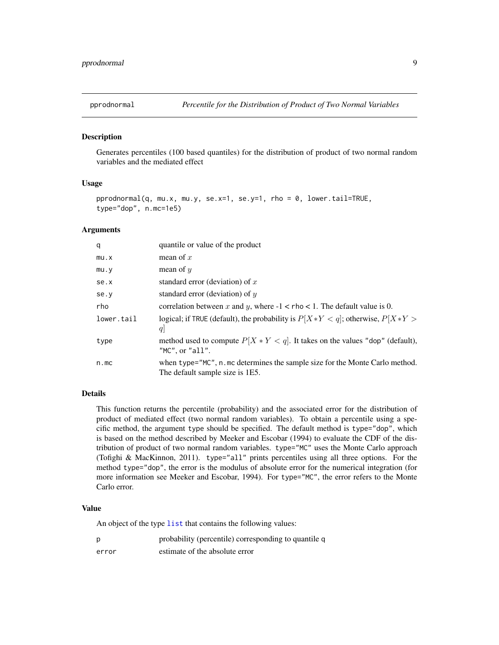<span id="page-8-1"></span><span id="page-8-0"></span>

#### Description

Generates percentiles (100 based quantiles) for the distribution of product of two normal random variables and the mediated effect

#### Usage

```
pprodnormal(q, mu.x, mu.y, se.x=1, se.y=1, rho = \theta, lower.tail=TRUE,
type="dop", n.mc=1e5)
```
#### Arguments

| q          | quantile or value of the product                                                                               |
|------------|----------------------------------------------------------------------------------------------------------------|
| mu.x       | mean of $x$                                                                                                    |
| mu.y       | mean of $y$                                                                                                    |
| se.x       | standard error (deviation) of $x$                                                                              |
| se.y       | standard error (deviation) of $y$                                                                              |
| rho        | correlation between x and y, where $-1 < r$ ho $< 1$ . The default value is 0.                                 |
| lower.tail | logical; if TRUE (default), the probability is $P[X*Y < q]$ ; otherwise, $P[X*Y >$<br>q                        |
| type       | method used to compute $P[X * Y < q]$ . It takes on the values "dop" (default),<br>" $MC$ ", or " $all$ ".     |
| n.mc       | when type="MC", n.mc determines the sample size for the Monte Carlo method.<br>The default sample size is 1E5. |

#### Details

This function returns the percentile (probability) and the associated error for the distribution of product of mediated effect (two normal random variables). To obtain a percentile using a specific method, the argument type should be specified. The default method is type="dop", which is based on the method described by Meeker and Escobar (1994) to evaluate the CDF of the distribution of product of two normal random variables. type="MC" uses the Monte Carlo approach (Tofighi & MacKinnon, 2011). type="all" prints percentiles using all three options. For the method type="dop", the error is the modulus of absolute error for the numerical integration (for more information see Meeker and Escobar, 1994). For type="MC", the error refers to the Monte Carlo error.

#### Value

An object of the type [list](#page-0-0) that contains the following values:

| p     | probability (percentile) corresponding to quantile q |
|-------|------------------------------------------------------|
| error | estimate of the absolute error                       |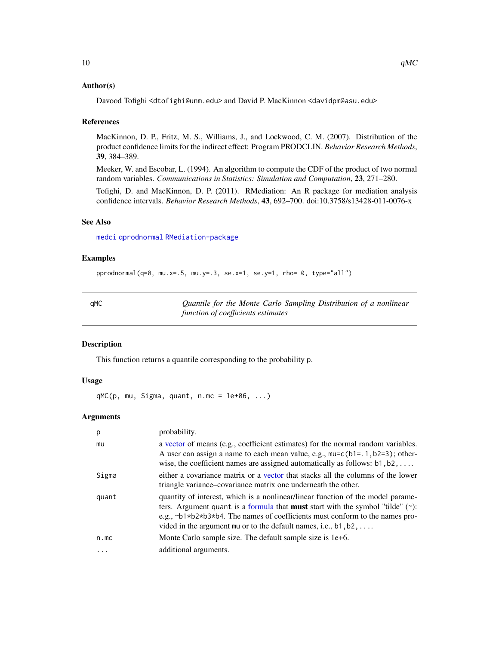#### <span id="page-9-0"></span>Author(s)

Davood Tofighi <dtofighi@unm.edu> and David P. MacKinnon <davidpm@asu.edu>

#### References

MacKinnon, D. P., Fritz, M. S., Williams, J., and Lockwood, C. M. (2007). Distribution of the product confidence limits for the indirect effect: Program PRODCLIN. *Behavior Research Methods*, 39, 384–389.

Meeker, W. and Escobar, L. (1994). An algorithm to compute the CDF of the product of two normal random variables. *Communications in Statistics: Simulation and Computation*, 23, 271–280.

Tofighi, D. and MacKinnon, D. P. (2011). RMediation: An R package for mediation analysis confidence intervals. *Behavior Research Methods*, 43, 692–700. doi:10.3758/s13428-011-0076-x

#### See Also

[medci](#page-4-1) [qprodnormal](#page-10-1) [RMediation-package](#page-1-1)

#### Examples

pprodnormal(q=0, mu.x=.5, mu.y=.3, se.x=1, se.y=1, rho= 0, type="all")

| ×<br>۰ | ×<br>۰ |
|--------|--------|

Quantile for the Monte Carlo Sampling Distribution of a nonlinear *function of coefficients estimates*

#### Description

This function returns a quantile corresponding to the probability p.

#### Usage

 $qMC(p, mu, Sigma, quant, n.mc = 1e+06, ...)$ 

| p     | probability.                                                                                                                                                                                                                                                                                                                                                          |
|-------|-----------------------------------------------------------------------------------------------------------------------------------------------------------------------------------------------------------------------------------------------------------------------------------------------------------------------------------------------------------------------|
| mu    | a vector of means (e.g., coefficient estimates) for the normal random variables.<br>A user can assign a name to each mean value, e.g., $mu=c(b1=.1, b2=3)$ ; other-<br>wise, the coefficient names are assigned automatically as follows: $b1, b2, \ldots$                                                                                                            |
| Sigma | either a covariance matrix or a vector that stacks all the columns of the lower<br>triangle variance-covariance matrix one underneath the other.                                                                                                                                                                                                                      |
| quant | quantity of interest, which is a nonlinear/linear function of the model parame-<br>ters. Argument quant is a formula that <b>must</b> start with the symbol "tilde" $(\gamma)$ :<br>e.g., $\neg b1 \star b2 \star b3 \star b4$ . The names of coefficients must conform to the names pro-<br>vided in the argument mu or to the default names, i.e., $b1, b2, \ldots$ |
| n.mc  | Monte Carlo sample size. The default sample size is 1e+6.                                                                                                                                                                                                                                                                                                             |
| .     | additional arguments.                                                                                                                                                                                                                                                                                                                                                 |
|       |                                                                                                                                                                                                                                                                                                                                                                       |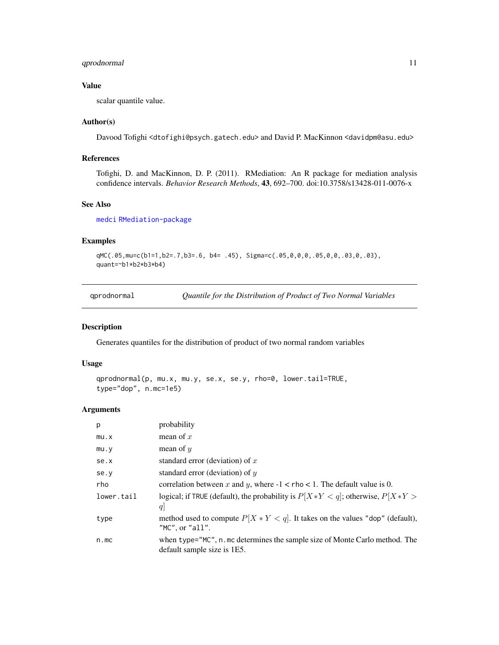#### <span id="page-10-0"></span>qprodnormal 11

#### Value

scalar quantile value.

#### Author(s)

Davood Tofighi <dtofighi@psych.gatech.edu> and David P. MacKinnon <davidpm@asu.edu>

#### References

Tofighi, D. and MacKinnon, D. P. (2011). RMediation: An R package for mediation analysis confidence intervals. *Behavior Research Methods*, 43, 692–700. doi:10.3758/s13428-011-0076-x

#### See Also

[medci](#page-4-1) [RMediation-package](#page-1-1)

#### Examples

```
qMC(.05,mu=c(b1=1,b2=.7,b3=.6, b4= .45), Sigma=c(.05,0,0,0,.05,0,0,.03,0,.03),
quant=~b1*b2*b3*b4)
```
<span id="page-10-1"></span>qprodnormal *Quantile for the Distribution of Product of Two Normal Variables*

#### Description

Generates quantiles for the distribution of product of two normal random variables

#### Usage

```
qprodnormal(p, mu.x, mu.y, se.x, se.y, rho=0, lower.tail=TRUE,
type="dop", n.mc=1e5)
```

| р          | probability                                                                                                |
|------------|------------------------------------------------------------------------------------------------------------|
| mu.x       | mean of $x$                                                                                                |
| mu.y       | mean of $y$                                                                                                |
| se.x       | standard error (deviation) of $x$                                                                          |
| se.y       | standard error (deviation) of $y$                                                                          |
| rho        | correlation between x and y, where $-1 <$ rho $< 1$ . The default value is 0.                              |
| lower.tail | logical; if TRUE (default), the probability is $P[X*Y < q]$ ; otherwise, $P[X*Y >$<br>q                    |
| type       | method used to compute $P[X * Y < q]$ . It takes on the values "dop" (default),<br>" $MC$ ", or " $all$ ". |
| n.mc       | when type="MC", n.mc determines the sample size of Monte Carlo method. The<br>default sample size is 1E5.  |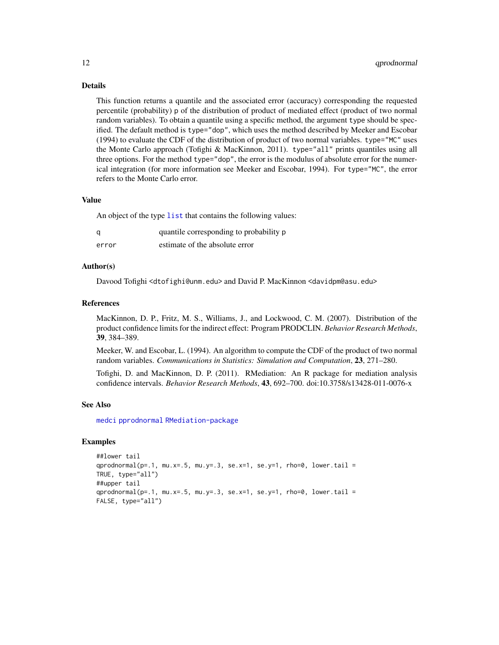#### Details

This function returns a quantile and the associated error (accuracy) corresponding the requested percentile (probability) p of the distribution of product of mediated effect (product of two normal random variables). To obtain a quantile using a specific method, the argument type should be specified. The default method is type="dop", which uses the method described by Meeker and Escobar (1994) to evaluate the CDF of the distribution of product of two normal variables. type="MC" uses the Monte Carlo approach (Tofighi & MacKinnon, 2011). type="all" prints quantiles using all three options. For the method type="dop", the error is the modulus of absolute error for the numerical integration (for more information see Meeker and Escobar, 1994). For type="MC", the error refers to the Monte Carlo error.

#### Value

An object of the type [list](#page-0-0) that contains the following values:

|       | quantile corresponding to probability p |
|-------|-----------------------------------------|
| error | estimate of the absolute error          |

#### Author(s)

Davood Tofighi <dtofighi@unm.edu> and David P. MacKinnon <davidpm@asu.edu>

#### References

MacKinnon, D. P., Fritz, M. S., Williams, J., and Lockwood, C. M. (2007). Distribution of the product confidence limits for the indirect effect: Program PRODCLIN. *Behavior Research Methods*, 39, 384–389.

Meeker, W. and Escobar, L. (1994). An algorithm to compute the CDF of the product of two normal random variables. *Communications in Statistics: Simulation and Computation*, 23, 271–280.

Tofighi, D. and MacKinnon, D. P. (2011). RMediation: An R package for mediation analysis confidence intervals. *Behavior Research Methods*, 43, 692–700. doi:10.3758/s13428-011-0076-x

#### See Also

[medci](#page-4-1) [pprodnormal](#page-8-1) [RMediation-package](#page-1-1)

#### Examples

```
##lower tail
qprodnormal(p=.1, mu.x=.5, mu.y=.3, se.x=1, se.y=1, rho=0, lower.tail =
TRUE, type="all")
##upper tail
qprodnormal(p=.1, mu.x=.5, mu.y=.3, se.x=1, se.y=1, rho=0, lower.tail =
FALSE, type="all")
```
<span id="page-11-0"></span>